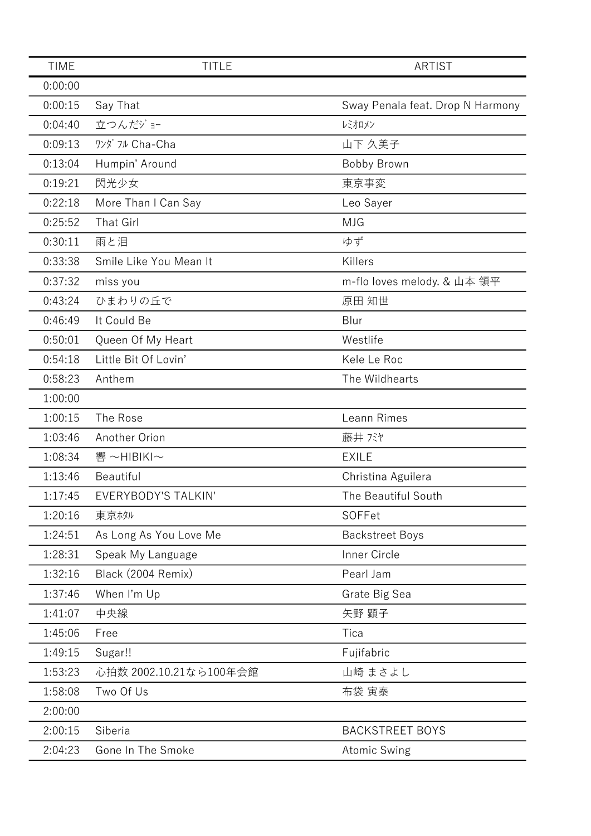| <b>TIME</b> | <b>TITLE</b>           | <b>ARTIST</b>                    |
|-------------|------------------------|----------------------------------|
| 0:00:00     |                        |                                  |
| 0:00:15     | Say That               | Sway Penala feat. Drop N Harmony |
| 0:04:40     | 立つんだジョー                | レミオロメン                           |
| 0:09:13     | ワンダ フル Cha-Cha         | 山下 久美子                           |
| 0:13:04     | Humpin' Around         | <b>Bobby Brown</b>               |
| 0:19:21     | 閃光少女                   | 東京事変                             |
| 0:22:18     | More Than I Can Say    | Leo Sayer                        |
| 0:25:52     | <b>That Girl</b>       | <b>MJG</b>                       |
| 0:30:11     | 雨と泪                    | ゆず                               |
| 0:33:38     | Smile Like You Mean It | Killers                          |
| 0:37:32     | miss you               | m-flo loves melody. & 山本 領平      |
| 0:43:24     | ひまわりの丘で                | 原田 知世                            |
| 0:46:49     | It Could Be            | Blur                             |
| 0:50:01     | Queen Of My Heart      | Westlife                         |
| 0:54:18     | Little Bit Of Lovin'   | Kele Le Roc                      |
| 0:58:23     | Anthem                 | The Wildhearts                   |
| 1:00:00     |                        |                                  |
| 1:00:15     | The Rose               | Leann Rimes                      |
| 1:03:46     | Another Orion          | 藤井 バヤ                            |
| 1:08:34     | 響~HIBIKI~              | <b>EXILE</b>                     |
| 1:13:46     | Beautiful              | Christina Aguilera               |
| 1:17:45     | EVERYBODY'S TALKIN'    | The Beautiful South              |
| 1:20:16     | 東京ホタル                  | SOFFet                           |
| 1:24:51     | As Long As You Love Me | <b>Backstreet Boys</b>           |
| 1:28:31     | Speak My Language      | Inner Circle                     |
| 1:32:16     | Black (2004 Remix)     | Pearl Jam                        |
| 1:37:46     | When I'm Up            | Grate Big Sea                    |
| 1:41:07     | 中央線                    | 矢野 顕子                            |
| 1:45:06     | Free                   | Tica                             |
| 1:49:15     | Sugar!!                | Fujifabric                       |
| 1:53:23     | 心拍数 2002.10.21なら100年会館 | 山崎 まさよし                          |
| 1:58:08     | Two Of Us              | 布袋 寅泰                            |
| 2:00:00     |                        |                                  |
| 2:00:15     | Siberia                | <b>BACKSTREET BOYS</b>           |
| 2:04:23     | Gone In The Smoke      | <b>Atomic Swing</b>              |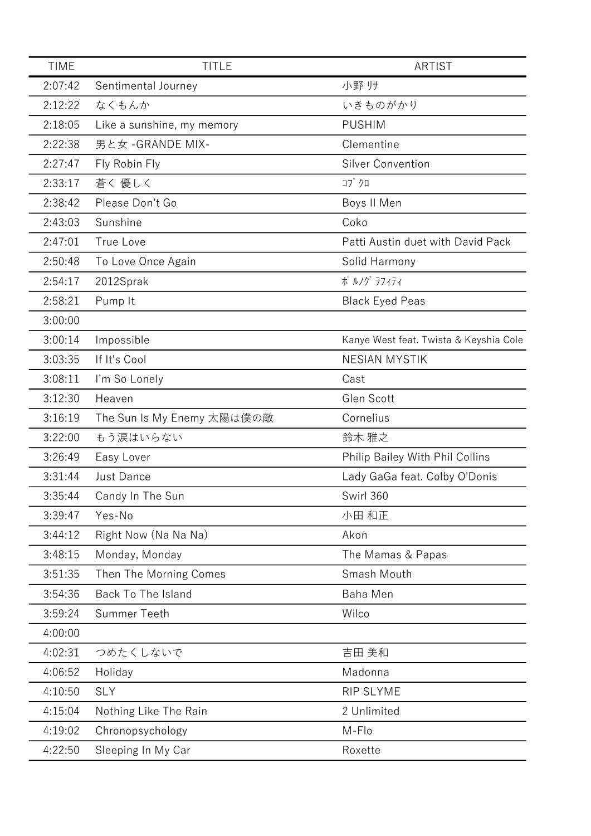| <b>TIME</b> | <b>TITLE</b>               | <b>ARTIST</b>                          |
|-------------|----------------------------|----------------------------------------|
| 2:07:42     | Sentimental Journey        | 小野帅                                    |
| 2:12:22     | なくもんか                      | いきものがかり                                |
| 2:18:05     | Like a sunshine, my memory | <b>PUSHIM</b>                          |
| 2:22:38     | 男と女 - GRANDE MIX-          | Clementine                             |
| 2:27:47     | Fly Robin Fly              | <b>Silver Convention</b>               |
| 2:33:17     | 蒼く 優しく                     | コブクロ                                   |
| 2:38:42     | Please Don't Go            | Boys II Men                            |
| 2:43:03     | Sunshine                   | Coko                                   |
| 2:47:01     | True Love                  | Patti Austin duet with David Pack      |
| 2:50:48     | To Love Once Again         | Solid Harmony                          |
| 2:54:17     | 2012Sprak                  | ポ ルノグ ラフィティ                            |
| 2:58:21     | Pump It                    | <b>Black Eyed Peas</b>                 |
| 3:00:00     |                            |                                        |
| 3:00:14     | Impossible                 | Kanye West feat. Twista & Keyshia Cole |
| 3:03:35     | If It's Cool               | <b>NESIAN MYSTIK</b>                   |
| 3:08:11     | I'm So Lonely              | Cast                                   |
| 3:12:30     | Heaven                     | Glen Scott                             |
| 3:16:19     | The Sun Is My Enemy 太陽は僕の敵 | Cornelius                              |
| 3:22:00     | もう涙はいらない                   | 鈴木 雅之                                  |
| 3:26:49     | Easy Lover                 | Philip Bailey With Phil Collins        |
| 3:31:44     | <b>Just Dance</b>          | Lady GaGa feat. Colby O'Donis          |
| 3:35:44     | Candy In The Sun           | Swirl 360                              |
| 3:39:47     | Yes-No                     | 小田 和正                                  |
| 3:44:12     | Right Now (Na Na Na)       | Akon                                   |
| 3:48:15     | Monday, Monday             | The Mamas & Papas                      |
| 3:51:35     | Then The Morning Comes     | Smash Mouth                            |
| 3:54:36     | Back To The Island         | <b>Baha Men</b>                        |
| 3:59:24     | Summer Teeth               | Wilco                                  |
| 4:00:00     |                            |                                        |
| 4:02:31     | つめたくしないで                   | 吉田 美和                                  |
| 4:06:52     | Holiday                    | Madonna                                |
| 4:10:50     | <b>SLY</b>                 | RIP SLYME                              |
| 4:15:04     | Nothing Like The Rain      | 2 Unlimited                            |
| 4:19:02     | Chronopsychology           | M-Flo                                  |
| 4:22:50     | Sleeping In My Car         | Roxette                                |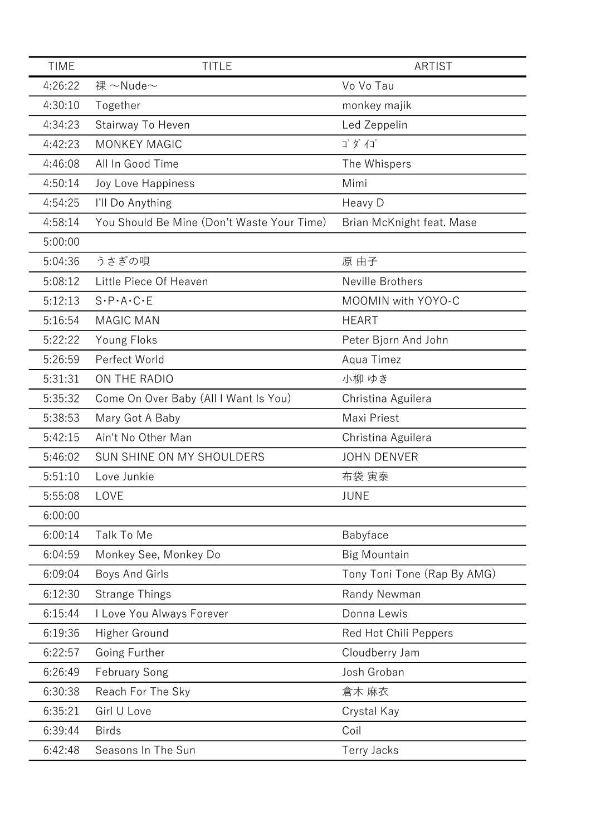| <b>TIME</b> | <b>TITLE</b>                               | <b>ARTIST</b>               |
|-------------|--------------------------------------------|-----------------------------|
| 4:26:22     | 裸 $\sim$ Nude $\sim$                       | Vo Vo Tau                   |
| 4:30:10     | Together                                   | monkey majik                |
| 4:34:23     | Stairway To Heven                          | Led Zeppelin                |
| 4:42:23     | <b>MONKEY MAGIC</b>                        | ゴダイゴ                        |
| 4:46:08     | All In Good Time                           | The Whispers                |
| 4:50:14     | Joy Love Happiness                         | Mimi                        |
| 4:54:25     | I'll Do Anything                           | Heavy D                     |
| 4:58:14     | You Should Be Mine (Don't Waste Your Time) | Brian McKnight feat. Mase   |
| 5:00:00     |                                            |                             |
| 5:04:36     | うさぎの唄                                      | 原 由子                        |
| 5:08:12     | Little Piece Of Heaven                     | Neville Brothers            |
| 5:12:13     | $S \cdot P \cdot A \cdot C \cdot E$        | MOOMIN with YOYO-C          |
| 5:16:54     | <b>MAGIC MAN</b>                           | <b>HEART</b>                |
| 5:22:22     | Young Floks                                | Peter Bjorn And John        |
| 5:26:59     | Perfect World                              | Aqua Timez                  |
| 5:31:31     | ON THE RADIO                               | 小柳ゆき                        |
| 5:35:32     | Come On Over Baby (All I Want Is You)      | Christina Aguilera          |
| 5:38:53     | Mary Got A Baby                            | Maxi Priest                 |
| 5:42:15     | Ain't No Other Man                         | Christina Aguilera          |
| 5:46:02     | SUN SHINE ON MY SHOULDERS                  | <b>JOHN DENVER</b>          |
| 5:51:10     | Love Junkie                                | 布袋 寅泰                       |
| 5:55:08     | LOVE                                       | <b>JUNE</b>                 |
| 6:00:00     |                                            |                             |
| 6:00:14     | Talk To Me                                 | Babyface                    |
| 6:04:59     | Monkey See, Monkey Do                      | <b>Big Mountain</b>         |
| 6:09:04     | Boys And Girls                             | Tony Toni Tone (Rap By AMG) |
| 6:12:30     | <b>Strange Things</b>                      | Randy Newman                |
| 6:15:44     | I Love You Always Forever                  | Donna Lewis                 |
| 6:19:36     | Higher Ground                              | Red Hot Chili Peppers       |
| 6:22:57     | Going Further                              | Cloudberry Jam              |
| 6:26:49     | <b>February Song</b>                       | Josh Groban                 |
| 6:30:38     | Reach For The Sky                          | 倉木 麻衣                       |
| 6:35:21     | Girl U Love                                | Crystal Kay                 |
| 6:39:44     | <b>Birds</b>                               | Coil                        |
| 6:42:48     | Seasons In The Sun                         | <b>Terry Jacks</b>          |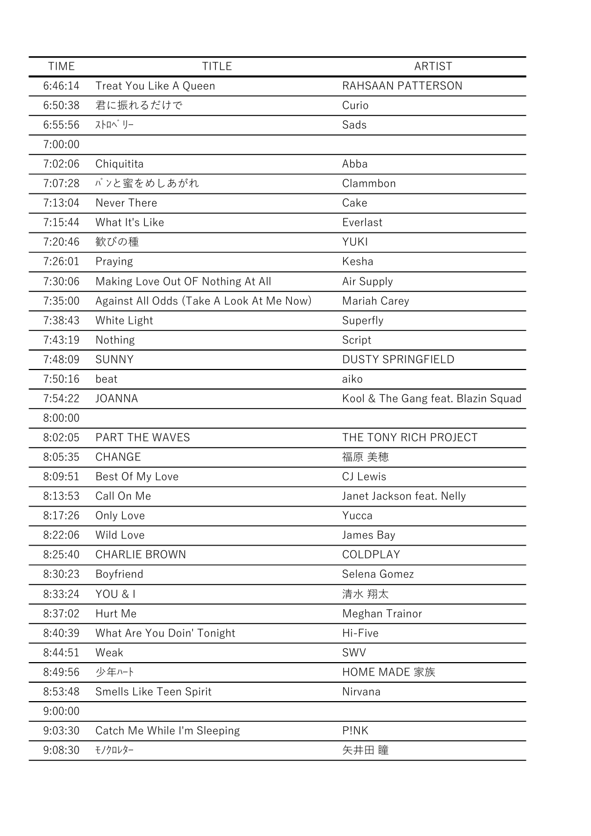| <b>TIME</b> | <b>TITLE</b>                             | <b>ARTIST</b>                      |
|-------------|------------------------------------------|------------------------------------|
| 6:46:14     | Treat You Like A Queen                   | RAHSAAN PATTERSON                  |
| 6:50:38     | 君に振れるだけで                                 | Curio                              |
| 6:55:56     | ストロヘ゛リー                                  | Sads                               |
| 7:00:00     |                                          |                                    |
| 7:02:06     | Chiquitita                               | Abba                               |
| 7:07:28     | パンと蜜をめしあがれ                               | Clammbon                           |
| 7:13:04     | Never There                              | Cake                               |
| 7:15:44     | What It's Like                           | Everlast                           |
| 7:20:46     | 歓びの種                                     | YUKI                               |
| 7:26:01     | Praying                                  | Kesha                              |
| 7:30:06     | Making Love Out OF Nothing At All        | Air Supply                         |
| 7:35:00     | Against All Odds (Take A Look At Me Now) | Mariah Carey                       |
| 7:38:43     | White Light                              | Superfly                           |
| 7:43:19     | Nothing                                  | Script                             |
| 7:48:09     | <b>SUNNY</b>                             | <b>DUSTY SPRINGFIELD</b>           |
| 7:50:16     | beat                                     | aiko                               |
| 7:54:22     | <b>JOANNA</b>                            | Kool & The Gang feat. Blazin Squad |
| 8:00:00     |                                          |                                    |
| 8:02:05     | PART THE WAVES                           | THE TONY RICH PROJECT              |
| 8:05:35     | <b>CHANGE</b>                            | 福原 美穂                              |
| 8:09:51     | Best Of My Love                          | CJ Lewis                           |
| 8:13:53     | Call On Me                               | Janet Jackson feat. Nelly          |
| 8:17:26     | Only Love                                | Yucca                              |
| 8:22:06     | Wild Love                                | James Bay                          |
| 8:25:40     | <b>CHARLIE BROWN</b>                     | COLDPLAY                           |
| 8:30:23     | Boyfriend                                | Selena Gomez                       |
| 8:33:24     | YOU & I                                  | 清水 翔太                              |
| 8:37:02     | Hurt Me                                  | Meghan Trainor                     |
| 8:40:39     | What Are You Doin' Tonight               | Hi-Five                            |
| 8:44:51     | Weak                                     | SWV                                |
| 8:49:56     | 少年ハート                                    | <b>HOME MADE 家族</b>                |
| 8:53:48     | Smells Like Teen Spirit                  | Nirvana                            |
| 9:00:00     |                                          |                                    |
| 9:03:30     | Catch Me While I'm Sleeping              | P!NK                               |
| 9:08:30     | モノクロレター                                  | 矢井田 瞳                              |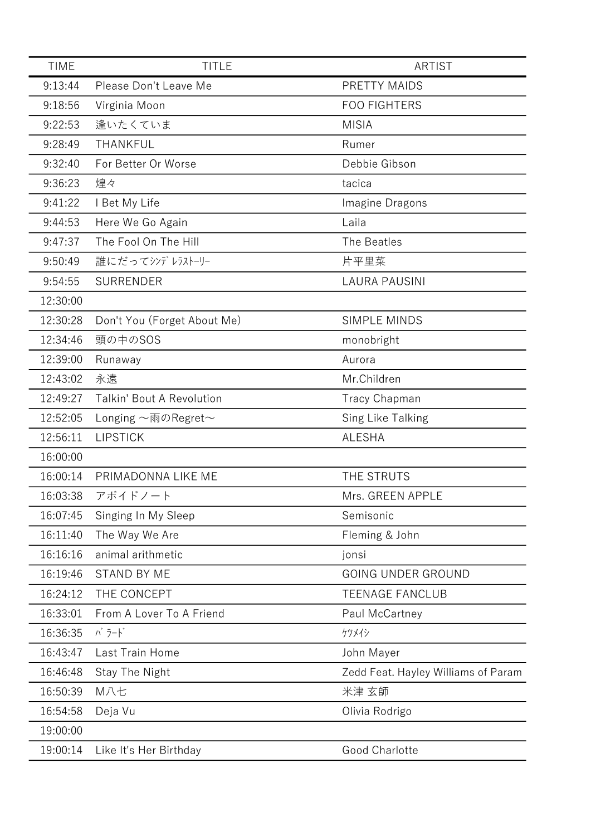| <b>TIME</b> | <b>TITLE</b>                     | <b>ARTIST</b>                       |
|-------------|----------------------------------|-------------------------------------|
| 9:13:44     | Please Don't Leave Me            | PRETTY MAIDS                        |
| 9:18:56     | Virginia Moon                    | <b>FOO FIGHTERS</b>                 |
| 9:22:53     | 逢いたくていま                          | <b>MISIA</b>                        |
| 9:28:49     | THANKFUL                         | Rumer                               |
| 9:32:40     | For Better Or Worse              | Debbie Gibson                       |
| 9:36:23     | 煌々                               | tacica                              |
| 9:41:22     | I Bet My Life                    | Imagine Dragons                     |
| 9:44:53     | Here We Go Again                 | Laila                               |
| 9:47:37     | The Fool On The Hill             | The Beatles                         |
| 9:50:49     | 誰にだってシンデレラストーリー                  | 片平里菜                                |
| 9:54:55     | <b>SURRENDER</b>                 | <b>LAURA PAUSINI</b>                |
| 12:30:00    |                                  |                                     |
| 12:30:28    | Don't You (Forget About Me)      | <b>SIMPLE MINDS</b>                 |
| 12:34:46    | 頭の中のSOS                          | monobright                          |
| 12:39:00    | Runaway                          | Aurora                              |
| 12:43:02    | 永遠                               | Mr.Children                         |
| 12:49:27    | <b>Talkin' Bout A Revolution</b> | <b>Tracy Chapman</b>                |
| 12:52:05    | Longing ~雨のRegret~               | Sing Like Talking                   |
| 12:56:11    | <b>LIPSTICK</b>                  | <b>ALESHA</b>                       |
| 16:00:00    |                                  |                                     |
| 16:00:14    | PRIMADONNA LIKE ME               | THE STRUTS                          |
| 16:03:38    | アボイドノート                          | Mrs. GREEN APPLE                    |
| 16:07:45    | Singing In My Sleep              | Semisonic                           |
| 16:11:40    | The Way We Are                   | Fleming & John                      |
| 16:16:16    | animal arithmetic                | jonsi                               |
| 16:19:46    | <b>STAND BY ME</b>               | <b>GOING UNDER GROUND</b>           |
| 16:24:12    | THE CONCEPT                      | <b>TEENAGE FANCLUB</b>              |
| 16:33:01    | From A Lover To A Friend         | Paul McCartney                      |
| 16:36:35    | バラード                             | ケツメイシ                               |
| 16:43:47    | Last Train Home                  | John Mayer                          |
| 16:46:48    | Stay The Night                   | Zedd Feat. Hayley Williams of Param |
| 16:50:39    | M八七                              | 米津 玄師                               |
| 16:54:58    | Deja Vu                          | Olivia Rodrigo                      |
| 19:00:00    |                                  |                                     |
| 19:00:14    | Like It's Her Birthday           | Good Charlotte                      |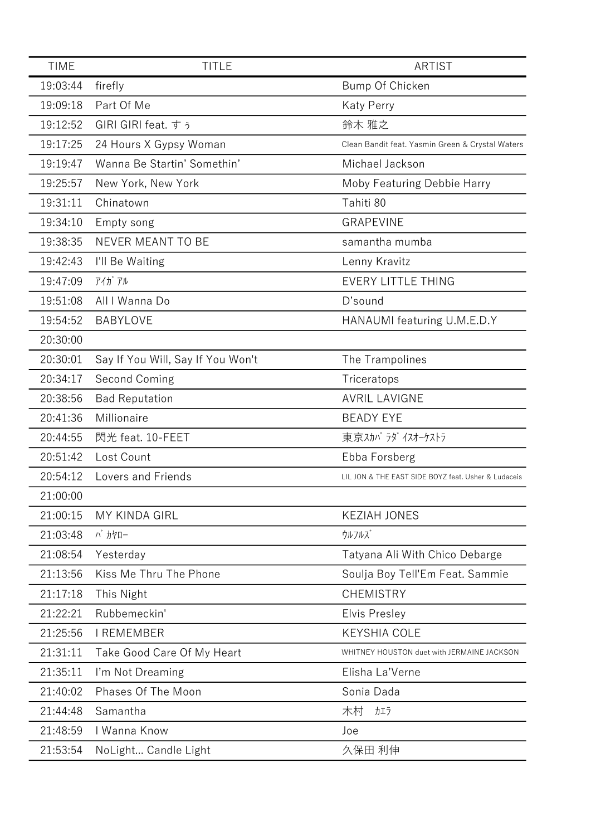| <b>TIME</b> | <b>TITLE</b>                      | <b>ARTIST</b>                                       |
|-------------|-----------------------------------|-----------------------------------------------------|
| 19:03:44    | firefly                           | Bump Of Chicken                                     |
| 19:09:18    | Part Of Me                        | <b>Katy Perry</b>                                   |
| 19:12:52    | GIRI GIRI feat. すぅ                | 鈴木 雅之                                               |
| 19:17:25    | 24 Hours X Gypsy Woman            | Clean Bandit feat. Yasmin Green & Crystal Waters    |
| 19:19:47    | Wanna Be Startin' Somethin'       | Michael Jackson                                     |
| 19:25:57    | New York, New York                | Moby Featuring Debbie Harry                         |
| 19:31:11    | Chinatown                         | Tahiti 80                                           |
| 19:34:10    | Empty song                        | <b>GRAPEVINE</b>                                    |
| 19:38:35    | NEVER MEANT TO BE                 | samantha mumba                                      |
| 19:42:43    | I'll Be Waiting                   | Lenny Kravitz                                       |
| 19:47:09    | $7/11$ $7/1$                      | <b>EVERY LITTLE THING</b>                           |
| 19:51:08    | All I Wanna Do                    | D'sound                                             |
| 19:54:52    | <b>BABYLOVE</b>                   | HANAUMI featuring U.M.E.D.Y                         |
| 20:30:00    |                                   |                                                     |
| 20:30:01    | Say If You Will, Say If You Won't | The Trampolines                                     |
| 20:34:17    | Second Coming                     | Triceratops                                         |
| 20:38:56    | <b>Bad Reputation</b>             | <b>AVRIL LAVIGNE</b>                                |
| 20:41:36    | Millionaire                       | <b>BEADY EYE</b>                                    |
| 20:44:55    | 閃光 feat. 10-FEET                  | 東京スカパラダイスオーケストラ                                     |
| 20:51:42    | Lost Count                        | Ebba Forsberg                                       |
| 20:54:12    | Lovers and Friends                | LIL JON & THE EAST SIDE BOYZ feat. Usher & Ludaceis |
| 21:00:00    |                                   |                                                     |
| 21:00:15    | <b>MY KINDA GIRL</b>              | <b>KEZIAH JONES</b>                                 |
| 21:03:48    | バ カヤロー                            | ウルフルズ                                               |
| 21:08:54    | Yesterday                         | Tatyana Ali With Chico Debarge                      |
| 21:13:56    | Kiss Me Thru The Phone            | Soulja Boy Tell'Em Feat. Sammie                     |
| 21:17:18    | This Night                        | <b>CHEMISTRY</b>                                    |
| 21:22:21    | Rubbemeckin'                      | <b>Elvis Presley</b>                                |
| 21:25:56    | <b>I REMEMBER</b>                 | <b>KEYSHIA COLE</b>                                 |
| 21:31:11    | Take Good Care Of My Heart        | WHITNEY HOUSTON duet with JERMAINE JACKSON          |
| 21:35:11    | I'm Not Dreaming                  | Elisha La'Verne                                     |
| 21:40:02    | Phases Of The Moon                | Sonia Dada                                          |
| 21:44:48    | Samantha                          | 木村<br>カエラ                                           |
| 21:48:59    | I Wanna Know                      | Joe                                                 |
| 21:53:54    | NoLight Candle Light              | 久保田 利伸                                              |